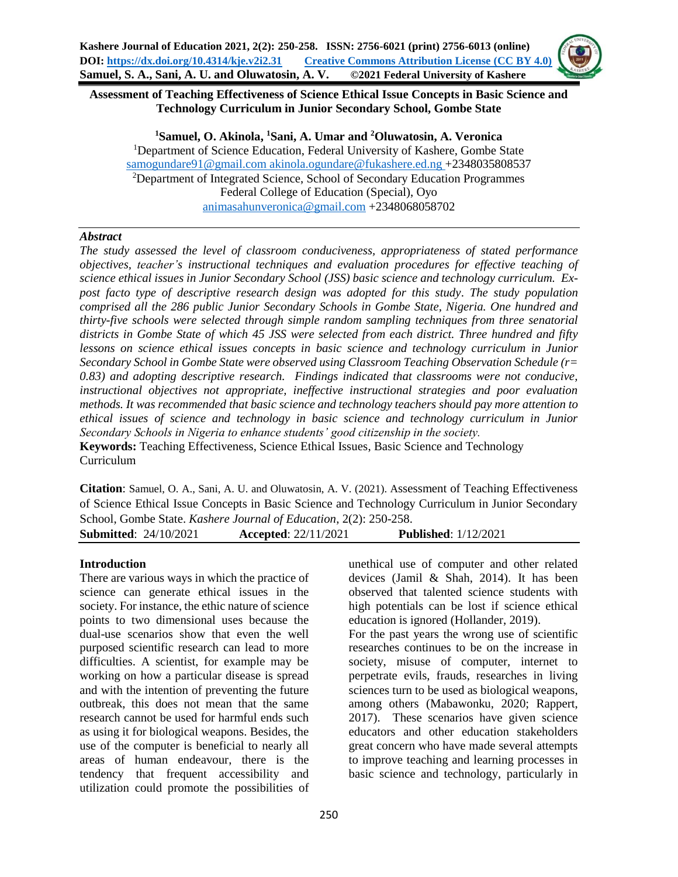**Assessment of Teaching Effectiveness of Science Ethical Issue Concepts in Basic Science and Technology Curriculum in Junior Secondary School, Gombe State**

**<sup>1</sup>Samuel, O. Akinola, <sup>1</sup>Sani, A. Umar and <sup>2</sup>Oluwatosin, A. Veronica** <sup>1</sup>Department of Science Education, Federal University of Kashere, Gombe State [samogundare91@gmail.com](mailto:samogundare91@gmail.com) [akinola.ogundare@fukashere.ed.ng](mailto:akinola.ogundare@fukashere.ed.ng) +2348035808537 <sup>2</sup>Department of Integrated Science, School of Secondary Education Programmes Federal College of Education (Special), Oyo [animasahunveronica@gmail.com](mailto:animasahunveronica@gmail.com) +2348068058702

#### *Abstract*

*The study assessed the level of classroom conduciveness, appropriateness of stated performance objectives, teacher's instructional techniques and evaluation procedures for effective teaching of science ethical issues in Junior Secondary School (JSS) basic science and technology curriculum. Expost facto type of descriptive research design was adopted for this study*. *The study population comprised all the 286 public Junior Secondary Schools in Gombe State, Nigeria. One hundred and thirty-five schools were selected through simple random sampling techniques from three senatorial districts in Gombe State of which 45 JSS were selected from each district. Three hundred and fifty lessons on science ethical issues concepts in basic science and technology curriculum in Junior Secondary School in Gombe State were observed using Classroom Teaching Observation Schedule (r= 0.83) and adopting descriptive research. Findings indicated that classrooms were not conducive, instructional objectives not appropriate, ineffective instructional strategies and poor evaluation methods. It was recommended that basic science and technology teachers should pay more attention to ethical issues of science and technology in basic science and technology curriculum in Junior Secondary Schools in Nigeria to enhance students' good citizenship in the society.* **Keywords:** Teaching Effectiveness, Science Ethical Issues, Basic Science and Technology

Curriculum **Citation**: Samuel, O. A., Sani, A. U. and Oluwatosin, A. V. (2021). Assessment of Teaching Effectiveness

of Science Ethical Issue Concepts in Basic Science and Technology Curriculum in Junior Secondary School, Gombe State. *Kashere Journal of Education*, 2(2): 250-258. **Submitted**: 24/10/2021 **Accepted**: 22/11/2021 **Published**: 1/12/2021

#### **Introduction**

There are various ways in which the practice of science can generate ethical issues in the society. For instance, the ethic nature of science points to two dimensional uses because the dual-use scenarios show that even the well purposed scientific research can lead to more difficulties. A scientist, for example may be working on how a particular disease is spread and with the intention of preventing the future outbreak, this does not mean that the same research cannot be used for harmful ends such as using it for biological weapons. Besides, the use of the computer is beneficial to nearly all areas of human endeavour, there is the tendency that frequent accessibility and utilization could promote the possibilities of

unethical use of computer and other related devices (Jamil & Shah, 2014). It has been observed that talented science students with high potentials can be lost if science ethical education is ignored (Hollander, 2019).

For the past years the wrong use of scientific researches continues to be on the increase in society, misuse of computer, internet to perpetrate evils, frauds, researches in living sciences turn to be used as biological weapons, among others (Mabawonku, 2020; Rappert, 2017). These scenarios have given science educators and other education stakeholders great concern who have made several attempts to improve teaching and learning processes in basic science and technology, particularly in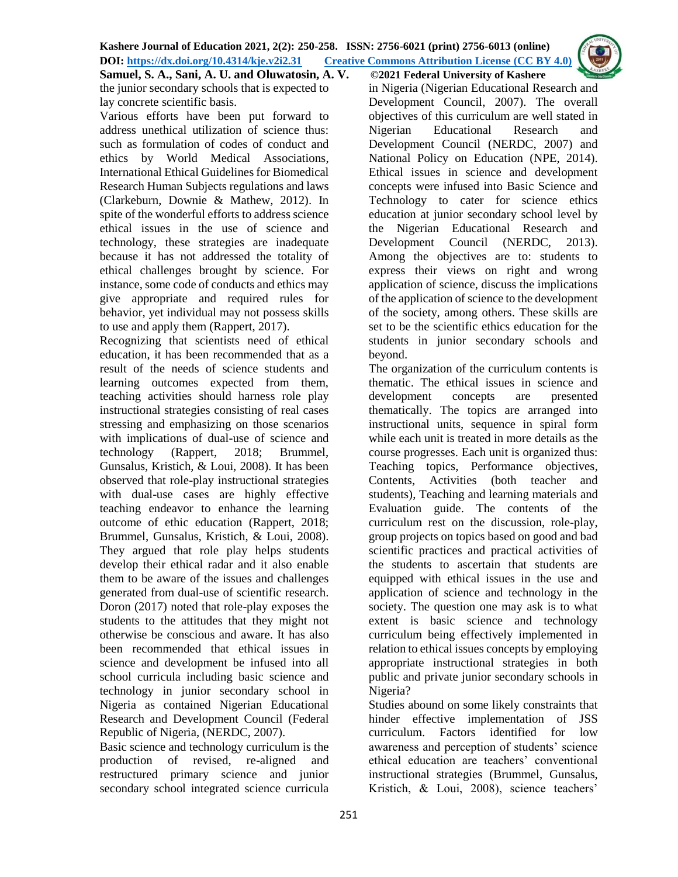**Samuel, S. A., Sani, A. U. and Oluwatosin, A. V. ©2021 Federal University of Kashere**

the junior secondary schools that is expected to lay concrete scientific basis.

Various efforts have been put forward to address unethical utilization of science thus: such as formulation of codes of conduct and ethics by World Medical Associations, International Ethical Guidelines for Biomedical Research Human Subjects regulations and laws (Clarkeburn, Downie & Mathew, 2012). In spite of the wonderful efforts to address science ethical issues in the use of science and technology, these strategies are inadequate because it has not addressed the totality of ethical challenges brought by science. For instance, some code of conducts and ethics may give appropriate and required rules for behavior, yet individual may not possess skills to use and apply them (Rappert, 2017).

Recognizing that scientists need of ethical education, it has been recommended that as a result of the needs of science students and learning outcomes expected from them, teaching activities should harness role play instructional strategies consisting of real cases stressing and emphasizing on those scenarios with implications of dual-use of science and technology (Rappert, 2018; Brummel, Gunsalus, Kristich, & Loui, 2008). It has been observed that role-play instructional strategies with dual-use cases are highly effective teaching endeavor to enhance the learning outcome of ethic education (Rappert, 2018; Brummel, Gunsalus, Kristich, & Loui, 2008). They argued that role play helps students develop their ethical radar and it also enable them to be aware of the issues and challenges generated from dual-use of scientific research. Doron (2017) noted that role-play exposes the students to the attitudes that they might not otherwise be conscious and aware. It has also been recommended that ethical issues in science and development be infused into all school curricula including basic science and technology in junior secondary school in Nigeria as contained Nigerian Educational Research and Development Council (Federal Republic of Nigeria, (NERDC, 2007).

Basic science and technology curriculum is the production of revised, re-aligned and restructured primary science and junior secondary school integrated science curricula

in Nigeria (Nigerian Educational Research and Development Council, 2007). The overall objectives of this curriculum are well stated in Nigerian Educational Research and Development Council (NERDC, 2007) and National Policy on Education (NPE, 2014). Ethical issues in science and development concepts were infused into Basic Science and Technology to cater for science ethics education at junior secondary school level by the Nigerian Educational Research and Development Council (NERDC, 2013). Among the objectives are to: students to express their views on right and wrong application of science, discuss the implications of the application of science to the development of the society, among others. These skills are set to be the scientific ethics education for the students in junior secondary schools and beyond.

The organization of the curriculum contents is thematic. The ethical issues in science and development concepts are presented thematically. The topics are arranged into instructional units, sequence in spiral form while each unit is treated in more details as the course progresses. Each unit is organized thus: Teaching topics, Performance objectives, Contents, Activities (both teacher and students), Teaching and learning materials and Evaluation guide. The contents of the curriculum rest on the discussion, role-play, group projects on topics based on good and bad scientific practices and practical activities of the students to ascertain that students are equipped with ethical issues in the use and application of science and technology in the society. The question one may ask is to what extent is basic science and technology curriculum being effectively implemented in relation to ethical issues concepts by employing appropriate instructional strategies in both public and private junior secondary schools in Nigeria?

Studies abound on some likely constraints that hinder effective implementation of JSS curriculum. Factors identified for low awareness and perception of students' science ethical education are teachers' conventional instructional strategies (Brummel, Gunsalus, Kristich, & Loui, 2008), science teachers'

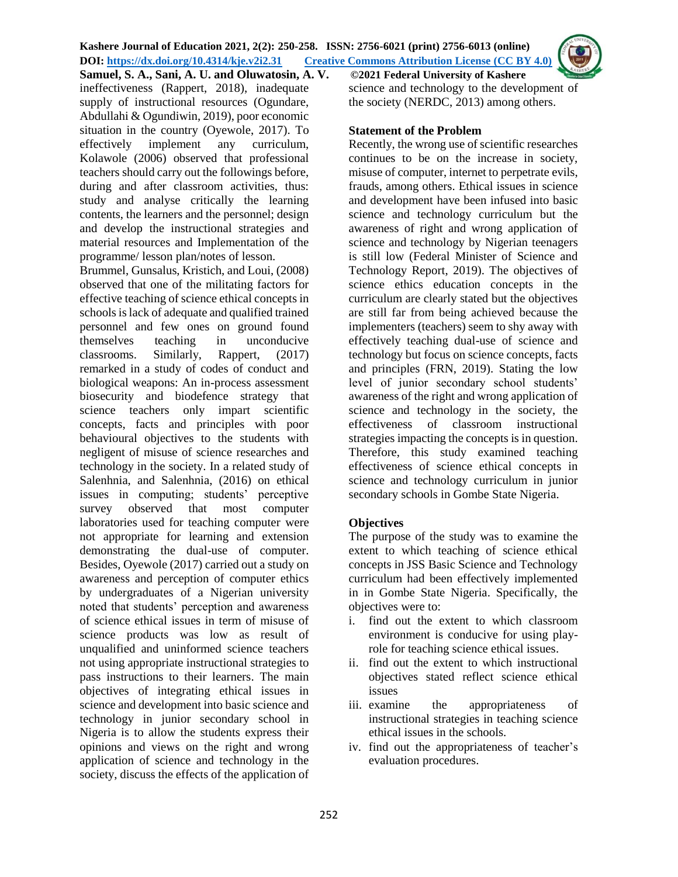**Samuel, S. A., Sani, A. U. and Oluwatosin, A. V. ©2021 Federal University of Kashere** ineffectiveness (Rappert, 2018), inadequate supply of instructional resources (Ogundare, Abdullahi & Ogundiwin, 2019), poor economic situation in the country (Oyewole, 2017). To effectively implement any curriculum, Kolawole (2006) observed that professional teachers should carry out the followings before, during and after classroom activities, thus: study and analyse critically the learning contents, the learners and the personnel; design and develop the instructional strategies and material resources and Implementation of the programme/ lesson plan/notes of lesson.

Brummel, Gunsalus, Kristich, and Loui, (2008) observed that one of the militating factors for effective teaching of science ethical concepts in schools is lack of adequate and qualified trained personnel and few ones on ground found themselves teaching in unconducive classrooms. Similarly, Rappert, (2017) remarked in a study of codes of conduct and biological weapons: An in-process assessment biosecurity and biodefence strategy that science teachers only impart scientific concepts, facts and principles with poor behavioural objectives to the students with negligent of misuse of science researches and technology in the society. In a related study of Salenhnia, and Salenhnia, (2016) on ethical issues in computing; students' perceptive survey observed that most computer laboratories used for teaching computer were not appropriate for learning and extension demonstrating the dual-use of computer. Besides, Oyewole (2017) carried out a study on awareness and perception of computer ethics by undergraduates of a Nigerian university noted that students' perception and awareness of science ethical issues in term of misuse of science products was low as result of unqualified and uninformed science teachers not using appropriate instructional strategies to pass instructions to their learners. The main objectives of integrating ethical issues in science and development into basic science and technology in junior secondary school in Nigeria is to allow the students express their opinions and views on the right and wrong application of science and technology in the society, discuss the effects of the application of science and technology to the development of the society (NERDC, 2013) among others.

### **Statement of the Problem**

Recently, the wrong use of scientific researches continues to be on the increase in society, misuse of computer, internet to perpetrate evils, frauds, among others. Ethical issues in science and development have been infused into basic science and technology curriculum but the awareness of right and wrong application of science and technology by Nigerian teenagers is still low (Federal Minister of Science and Technology Report, 2019). The objectives of science ethics education concepts in the curriculum are clearly stated but the objectives are still far from being achieved because the implementers (teachers) seem to shy away with effectively teaching dual-use of science and technology but focus on science concepts, facts and principles (FRN, 2019). Stating the low level of junior secondary school students' awareness of the right and wrong application of science and technology in the society, the effectiveness of classroom instructional strategies impacting the concepts is in question. Therefore, this study examined teaching effectiveness of science ethical concepts in science and technology curriculum in junior secondary schools in Gombe State Nigeria.

## **Objectives**

The purpose of the study was to examine the extent to which teaching of science ethical concepts in JSS Basic Science and Technology curriculum had been effectively implemented in in Gombe State Nigeria. Specifically, the objectives were to:

- i. find out the extent to which classroom environment is conducive for using playrole for teaching science ethical issues.
- ii. find out the extent to which instructional objectives stated reflect science ethical issues
- iii. examine the appropriateness of instructional strategies in teaching science ethical issues in the schools.
- iv. find out the appropriateness of teacher's evaluation procedures.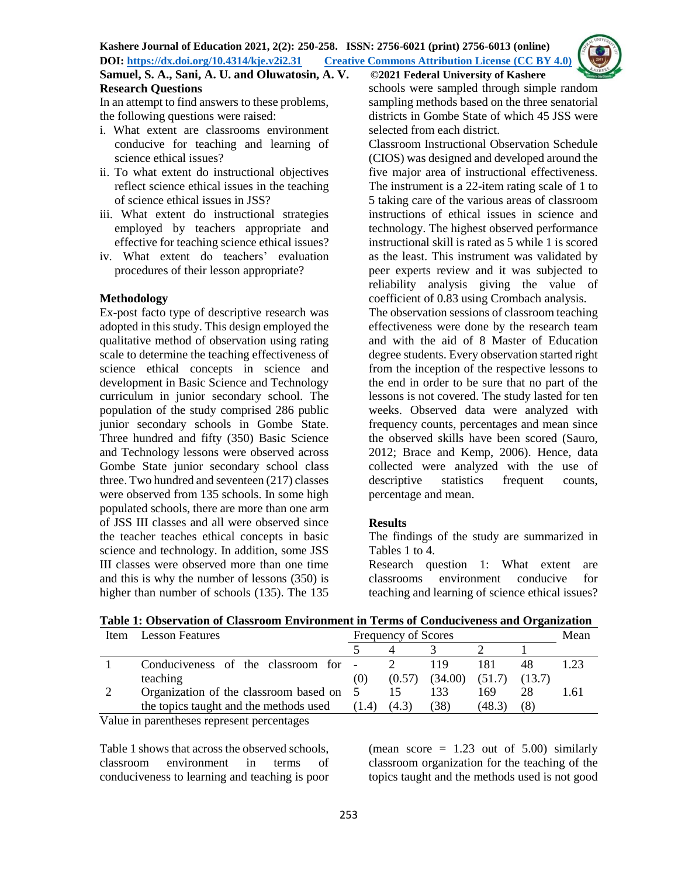# **Samuel, S. A., Sani, A. U. and Oluwatosin, A. V. ©2021 Federal University of Kashere Research Questions**

In an attempt to find answers to these problems, the following questions were raised:

- i. What extent are classrooms environment conducive for teaching and learning of science ethical issues?
- ii. To what extent do instructional objectives reflect science ethical issues in the teaching of science ethical issues in JSS?
- iii. What extent do instructional strategies employed by teachers appropriate and effective for teaching science ethical issues?
- iv. What extent do teachers' evaluation procedures of their lesson appropriate?

#### **Methodology**

Ex-post facto type of descriptive research was adopted in this study. This design employed the qualitative method of observation using rating scale to determine the teaching effectiveness of science ethical concepts in science and development in Basic Science and Technology curriculum in junior secondary school. The population of the study comprised 286 public junior secondary schools in Gombe State. Three hundred and fifty (350) Basic Science and Technology lessons were observed across Gombe State junior secondary school class three. Two hundred and seventeen (217) classes were observed from 135 schools. In some high populated schools, there are more than one arm of JSS III classes and all were observed since the teacher teaches ethical concepts in basic science and technology. In addition, some JSS III classes were observed more than one time and this is why the number of lessons (350) is higher than number of schools (135). The 135

schools were sampled through simple random sampling methods based on the three senatorial districts in Gombe State of which 45 JSS were selected from each district.

Classroom Instructional Observation Schedule (CIOS) was designed and developed around the five major area of instructional effectiveness. The instrument is a 22-item rating scale of 1 to 5 taking care of the various areas of classroom instructions of ethical issues in science and technology. The highest observed performance instructional skill is rated as 5 while 1 is scored as the least. This instrument was validated by peer experts review and it was subjected to reliability analysis giving the value of coefficient of 0.83 using Crombach analysis.

The observation sessions of classroom teaching effectiveness were done by the research team and with the aid of 8 Master of Education degree students. Every observation started right from the inception of the respective lessons to the end in order to be sure that no part of the lessons is not covered. The study lasted for ten weeks. Observed data were analyzed with frequency counts, percentages and mean since the observed skills have been scored (Sauro, 2012; Brace and Kemp, 2006). Hence, data collected were analyzed with the use of descriptive statistics frequent counts, percentage and mean.

#### **Results**

The findings of the study are summarized in Tables 1 to 4.

Research question 1: What extent are classrooms environment conducive for teaching and learning of science ethical issues?

| Table 1: Observation of Classroom Environment in Terms of Conduciveness and Organization |  |  |                     |  |      |
|------------------------------------------------------------------------------------------|--|--|---------------------|--|------|
| Item Lesson Features                                                                     |  |  | Frequency of Scores |  | Mean |
|                                                                                          |  |  | $\sim$ 3            |  |      |
| Conducivanes of the classroom for 2                                                      |  |  |                     |  |      |

| Conduciveness of the classroom for -       |       |       | 119                                  |        | 48 |      |
|--------------------------------------------|-------|-------|--------------------------------------|--------|----|------|
| teaching                                   | (0)   |       | $(0.57)$ $(34.00)$ $(51.7)$ $(13.7)$ |        |    |      |
| Organization of the classroom based on 5   |       |       |                                      | 169    |    | 1.61 |
| the topics taught and the methods used     | (1.4) | (4.3) | (38)                                 | (48.3) |    |      |
| Voluo in perentheses represent percentages |       |       |                                      |        |    |      |

Value in parentheses represent percentages

Table 1 shows that across the observed schools, classroom environment in terms of conduciveness to learning and teaching is poor (mean score  $= 1.23$  out of 5.00) similarly classroom organization for the teaching of the topics taught and the methods used is not good

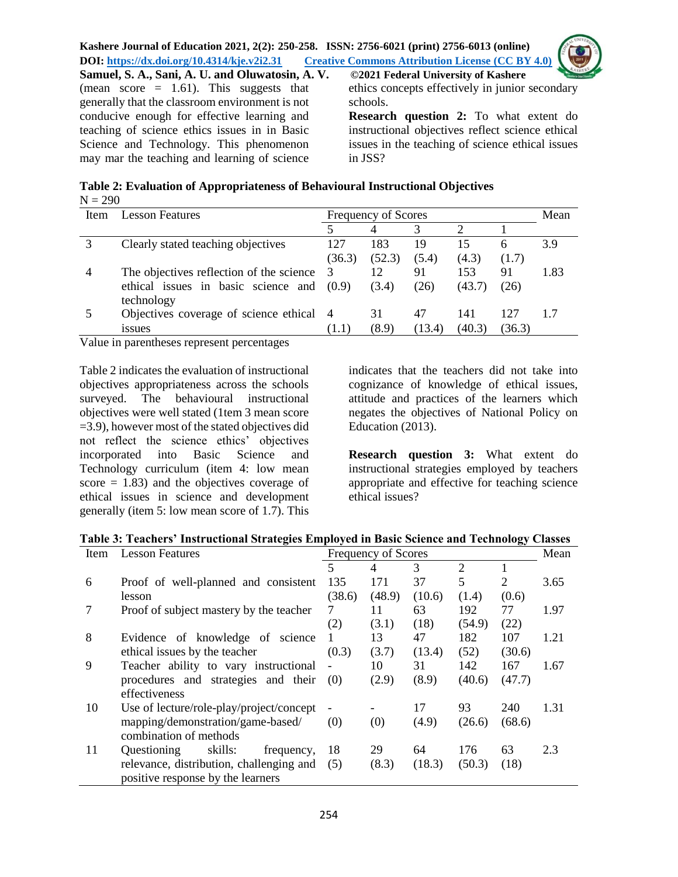

**Samuel, S. A., Sani, A. U. and Oluwatosin, A. V. ©2021 Federal University of Kashere** (mean score  $= 1.61$ ). This suggests that generally that the classroom environment is not conducive enough for effective learning and teaching of science ethics issues in in Basic Science and Technology. This phenomenon may mar the teaching and learning of science

ethics concepts effectively in junior secondary schools.

**Research question 2:** To what extent do instructional objectives reflect science ethical issues in the teaching of science ethical issues in JSS?

| Table 2: Evaluation of Appropriateness of Behavioural Instructional Objectives |  |
|--------------------------------------------------------------------------------|--|
| $N = 290$                                                                      |  |

| Item | Lesson Features                          |        | Frequency of Scores |        |        |        |      |  |
|------|------------------------------------------|--------|---------------------|--------|--------|--------|------|--|
|      |                                          |        |                     |        |        |        |      |  |
|      | Clearly stated teaching objectives       | 127    | 183                 | 19     | 15     | 6      | 3.9  |  |
|      |                                          | (36.3) | (52.3)              | (5.4)  | (4.3)  | (1.7)  |      |  |
|      | The objectives reflection of the science | 3      |                     | 91     | 153    | 91     | 1.83 |  |
|      | ethical issues in basic science and      | (0.9)  | (3.4)               | (26)   | (43.7) | (26)   |      |  |
|      | technology                               |        |                     |        |        |        |      |  |
|      | Objectives coverage of science ethical 4 |        | 31                  |        | 141    | 127    |      |  |
|      | <i>ssues</i>                             | (1.1)  | (8.9)               | (13.4) | (40.3) | (36.3) |      |  |

Value in parentheses represent percentages

Table 2 indicates the evaluation of instructional objectives appropriateness across the schools surveyed. The behavioural instructional objectives were well stated (1tem 3 mean score =3.9), however most of the stated objectives did not reflect the science ethics' objectives incorporated into Basic Science and Technology curriculum (item 4: low mean score  $= 1.83$ ) and the objectives coverage of ethical issues in science and development generally (item 5: low mean score of 1.7). This indicates that the teachers did not take into cognizance of knowledge of ethical issues, attitude and practices of the learners which negates the objectives of National Policy on Education (2013).

**Research question 3:** What extent do instructional strategies employed by teachers appropriate and effective for teaching science ethical issues?

#### **Table 3: Teachers' Instructional Strategies Employed in Basic Science and Technology Classes**

| <b>Lesson Features</b><br>Frequency of Scores<br>Item |                                          |        |                |        |                |                | Mean |  |
|-------------------------------------------------------|------------------------------------------|--------|----------------|--------|----------------|----------------|------|--|
|                                                       |                                          | 5      | $\overline{4}$ | 3      | $\overline{2}$ |                |      |  |
| 6                                                     | Proof of well-planned and consistent     | 135    | 171            | 37     | 5              | $\overline{2}$ | 3.65 |  |
|                                                       | lesson                                   | (38.6) | (48.9)         | (10.6) | (1.4)          | (0.6)          |      |  |
| 7                                                     | Proof of subject mastery by the teacher  | 7      | 11             | 63     | 192            | 77             | 1.97 |  |
|                                                       |                                          | (2)    | (3.1)          | (18)   | (54.9)         | (22)           |      |  |
| 8                                                     | Evidence of knowledge of science         | 1      | 13             | 47     | 182            | 107            | 1.21 |  |
|                                                       | ethical issues by the teacher            | (0.3)  | (3.7)          | (13.4) | (52)           | (30.6)         |      |  |
| 9                                                     | Teacher ability to vary instructional    |        | 10             | 31     | 142            | 167            | 1.67 |  |
|                                                       | procedures and strategies and their      | (0)    | (2.9)          | (8.9)  | (40.6)         | (47.7)         |      |  |
|                                                       | effectiveness                            |        |                |        |                |                |      |  |
| 10                                                    | Use of lecture/role-play/project/concept |        |                | 17     | 93             | 240            | 1.31 |  |
|                                                       | mapping/demonstration/game-based/        | (0)    | (0)            | (4.9)  | (26.6)         | (68.6)         |      |  |
|                                                       | combination of methods                   |        |                |        |                |                |      |  |
| 11                                                    | skills:<br>Questioning<br>frequency,     | 18     | 29             | 64     | 176            | 63             | 2.3  |  |
|                                                       | relevance, distribution, challenging and | (5)    | (8.3)          | (18.3) | (50.3)         | (18)           |      |  |
|                                                       | positive response by the learners        |        |                |        |                |                |      |  |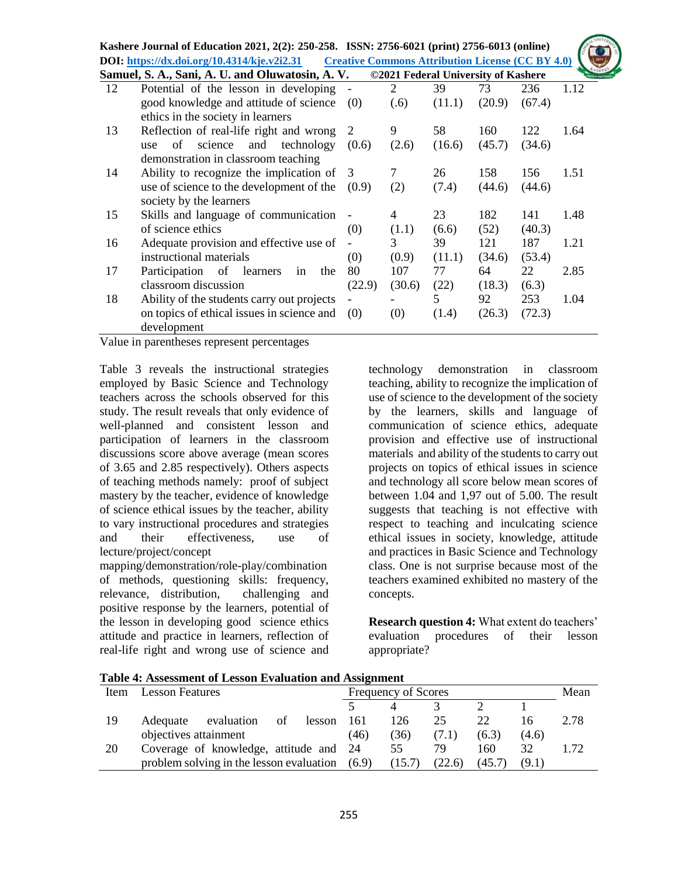|    | Kashere Journal of Education 2021, 2(2): 250-258. ISSN: 2756-6021 (print) 2756-6013 (online) |        |        |                                                         |        |        |      |
|----|----------------------------------------------------------------------------------------------|--------|--------|---------------------------------------------------------|--------|--------|------|
|    | DOI: https://dx.doi.org/10.4314/kje.v2i2.31                                                  |        |        | <b>Creative Commons Attribution License (CC BY 4.0)</b> |        |        |      |
|    | Samuel, S. A., Sani, A. U. and Oluwatosin, A. V.                                             |        |        | ©2021 Federal University of Kashere                     |        |        |      |
| 12 | Potential of the lesson in developing                                                        |        | 2      | 39                                                      | 73     | 236    | 1.12 |
|    | good knowledge and attitude of science                                                       | (0)    | (.6)   | (11.1)                                                  | (20.9) | (67.4) |      |
|    | ethics in the society in learners                                                            |        |        |                                                         |        |        |      |
| 13 | Reflection of real-life right and wrong                                                      | 2      | 9      | 58                                                      | 160    | 122    | 1.64 |
|    | technology<br>science<br>and<br>οf<br>use                                                    | (0.6)  | (2.6)  | (16.6)                                                  | (45.7) | (34.6) |      |
|    | demonstration in classroom teaching                                                          |        |        |                                                         |        |        |      |
| 14 | Ability to recognize the implication of 3                                                    |        | 7      | 26                                                      | 158    | 156    | 1.51 |
|    | use of science to the development of the                                                     | (0.9)  | (2)    | (7.4)                                                   | (44.6) | (44.6) |      |
|    | society by the learners                                                                      |        |        |                                                         |        |        |      |
| 15 | Skills and language of communication                                                         |        | 4      | 23                                                      | 182    | 141    | 1.48 |
|    | of science ethics                                                                            | (0)    | (1.1)  | (6.6)                                                   | (52)   | (40.3) |      |
| 16 | Adequate provision and effective use of                                                      |        | 3      | 39                                                      | 121    | 187    | 1.21 |
|    | instructional materials                                                                      | (0)    | (0.9)  | (11.1)                                                  | (34.6) | (53.4) |      |
| 17 | Participation of learners<br>in<br>the                                                       | 80     | 107    | 77                                                      | 64     | 22     | 2.85 |
|    | classroom discussion                                                                         | (22.9) | (30.6) | (22)                                                    | (18.3) | (6.3)  |      |
| 18 | Ability of the students carry out projects                                                   |        |        | 5                                                       | 92     | 253    | 1.04 |
|    | on topics of ethical issues in science and                                                   | (0)    | (0)    | (1.4)                                                   | (26.3) | (72.3) |      |
|    | development                                                                                  |        |        |                                                         |        |        |      |

Value in parentheses represent percentages

Table 3 reveals the instructional strategies employed by Basic Science and Technology teachers across the schools observed for this study. The result reveals that only evidence of well-planned and consistent lesson and participation of learners in the classroom discussions score above average (mean scores of 3.65 and 2.85 respectively). Others aspects of teaching methods namely: proof of subject mastery by the teacher, evidence of knowledge of science ethical issues by the teacher, ability to vary instructional procedures and strategies and their effectiveness, use of lecture/project/concept

mapping/demonstration/role-play/combination of methods, questioning skills: frequency, relevance, distribution, challenging and positive response by the learners, potential of the lesson in developing good science ethics attitude and practice in learners, reflection of real-life right and wrong use of science and technology demonstration in classroom teaching, ability to recognize the implication of use of science to the development of the society by the learners, skills and language of communication of science ethics, adequate provision and effective use of instructional materials and ability of the students to carry out projects on topics of ethical issues in science and technology all score below mean scores of between 1.04 and 1,97 out of 5.00. The result suggests that teaching is not effective with respect to teaching and inculcating science ethical issues in society, knowledge, attitude and practices in Basic Science and Technology class. One is not surprise because most of the teachers examined exhibited no mastery of the concepts.

**Research question 4:** What extent do teachers' evaluation procedures of their lesson appropriate?

| Table 7. Assessment of Lesson Evaluation and Assignment |                                          |                     |        |        |        |       |      |  |  |
|---------------------------------------------------------|------------------------------------------|---------------------|--------|--------|--------|-------|------|--|--|
| Item                                                    | <b>Lesson Features</b>                   | Frequency of Scores | Mean   |        |        |       |      |  |  |
|                                                         |                                          |                     |        |        |        |       |      |  |  |
| 19                                                      | evaluation<br>of<br>Adequate<br>lesson   | 161                 | 126    | 25     | 22     |       | 2.78 |  |  |
|                                                         | objectives attainment                    | (46)                | (36)   | (7.1)  | (6.3)  | (4.6) |      |  |  |
| 20                                                      | Coverage of knowledge, attitude and 24   |                     | 55     | 79     | 160    | 32    | 1.72 |  |  |
|                                                         | problem solving in the lesson evaluation | (6.9)               | (15.7) | (22.6) | (45.7) | (9.1) |      |  |  |

**Table 4: Assessment of Lesson Evaluation and Assignment**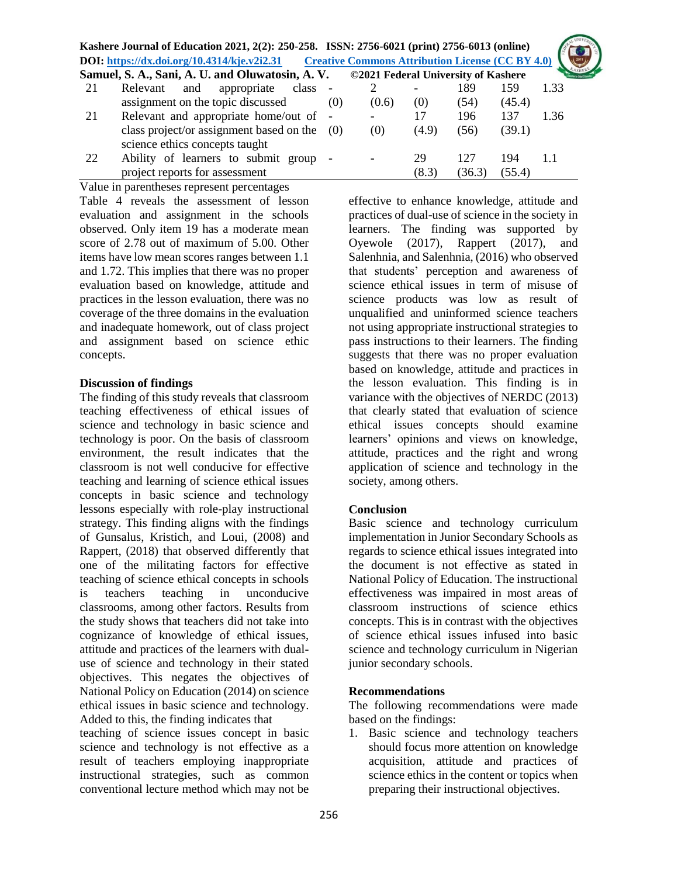|    | Kashere Journal of Education 2021, 2(2): 250-258. ISSN: 2756-6021 (print) 2756-6013 (online) |     |                                                         |             |               |               |      |
|----|----------------------------------------------------------------------------------------------|-----|---------------------------------------------------------|-------------|---------------|---------------|------|
|    | DOI: https://dx.doi.org/10.4314/kje.v2i2.31                                                  |     | <b>Creative Commons Attribution License (CC BY 4.0)</b> |             |               |               |      |
|    | Samuel, S. A., Sani, A. U. and Oluwatosin, A. V. ©2021 Federal University of Kashere         |     |                                                         |             |               |               |      |
| 21 | and<br>appropriate<br>class -<br>Relevant                                                    |     |                                                         |             | 189           | 159           | 1.33 |
|    | assignment on the topic discussed                                                            | (0) | (0.6)                                                   | (0)         | (54)          | (45.4)        |      |
| 21 | Relevant and appropriate home/out of -                                                       |     |                                                         | 17          | 196           | 137           | 1.36 |
|    | class project/or assignment based on the<br>science ethics concepts taught                   | (0) | (0)                                                     | (4.9)       | (56)          | (39.1)        |      |
| 22 | Ability of learners to submit group -<br>project reports for assessment                      |     |                                                         | 29<br>(8.3) | 127<br>(36.3) | 194<br>(55.4) | 1.1  |

Value in parentheses represent percentages Table 4 reveals the assessment of lesson evaluation and assignment in the schools observed. Only item 19 has a moderate mean score of 2.78 out of maximum of 5.00. Other items have low mean scores ranges between 1.1 and 1.72. This implies that there was no proper evaluation based on knowledge, attitude and practices in the lesson evaluation, there was no coverage of the three domains in the evaluation and inadequate homework, out of class project and assignment based on science ethic concepts.

#### **Discussion of findings**

The finding of this study reveals that classroom teaching effectiveness of ethical issues of science and technology in basic science and technology is poor. On the basis of classroom environment, the result indicates that the classroom is not well conducive for effective teaching and learning of science ethical issues concepts in basic science and technology lessons especially with role-play instructional strategy. This finding aligns with the findings of Gunsalus, Kristich, and Loui, (2008) and Rappert, (2018) that observed differently that one of the militating factors for effective teaching of science ethical concepts in schools is teachers teaching in unconducive classrooms, among other factors. Results from the study shows that teachers did not take into cognizance of knowledge of ethical issues, attitude and practices of the learners with dualuse of science and technology in their stated objectives. This negates the objectives of National Policy on Education (2014) on science ethical issues in basic science and technology. Added to this, the finding indicates that

teaching of science issues concept in basic science and technology is not effective as a result of teachers employing inappropriate instructional strategies, such as common conventional lecture method which may not be

effective to enhance knowledge, attitude and practices of dual-use of science in the society in learners. The finding was supported by Oyewole (2017), Rappert (2017), and Salenhnia, and Salenhnia, (2016) who observed that students' perception and awareness of science ethical issues in term of misuse of science products was low as result of unqualified and uninformed science teachers not using appropriate instructional strategies to pass instructions to their learners. The finding suggests that there was no proper evaluation based on knowledge, attitude and practices in the lesson evaluation. This finding is in variance with the objectives of NERDC (2013) that clearly stated that evaluation of science ethical issues concepts should examine learners' opinions and views on knowledge, attitude, practices and the right and wrong application of science and technology in the society, among others.

#### **Conclusion**

Basic science and technology curriculum implementation in Junior Secondary Schools as regards to science ethical issues integrated into the document is not effective as stated in National Policy of Education. The instructional effectiveness was impaired in most areas of classroom instructions of science ethics concepts. This is in contrast with the objectives of science ethical issues infused into basic science and technology curriculum in Nigerian junior secondary schools.

#### **Recommendations**

The following recommendations were made based on the findings:

1. Basic science and technology teachers should focus more attention on knowledge acquisition, attitude and practices of science ethics in the content or topics when preparing their instructional objectives.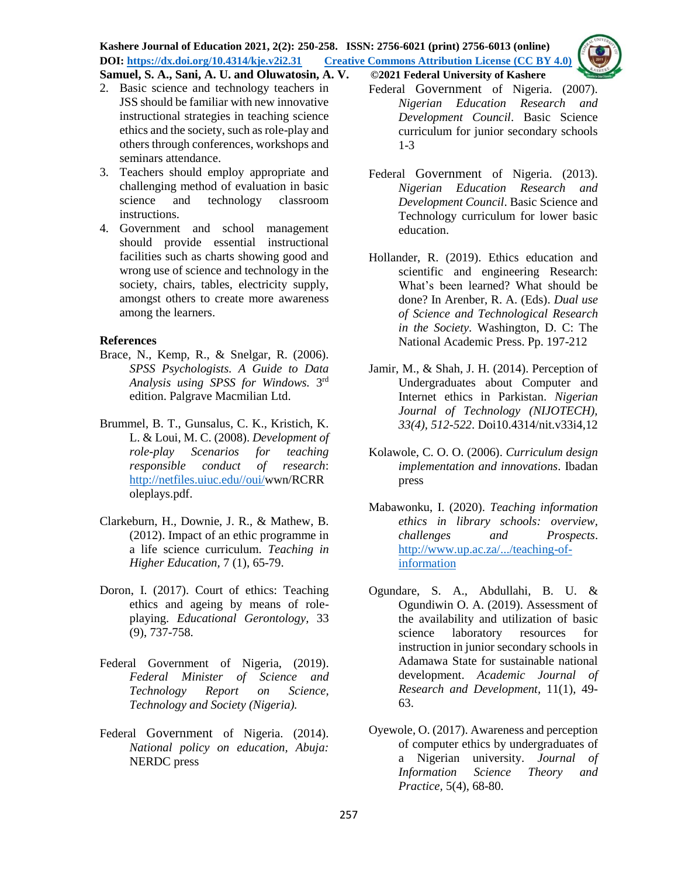**Kashere Journal of Education 2021, 2(2): 250-258. ISSN: 2756-6021 (print) 2756-6013 (online) DOI: <https://dx.doi.org/10.4314/kje.v2i2.31>[Creative Commons Attribution License](http://creativecommons.org/licenses/by/4.0/) (CC BY 4.0)** 



**Samuel, S. A., Sani, A. U. and Oluwatosin, A. V. ©2021 Federal University of Kashere**

- 2. Basic science and technology teachers in JSS should be familiar with new innovative instructional strategies in teaching science ethics and the society, such as role-play and others through conferences, workshops and seminars attendance.
- 3. Teachers should employ appropriate and challenging method of evaluation in basic science and technology classroom instructions.
- 4. Government and school management should provide essential instructional facilities such as charts showing good and wrong use of science and technology in the society, chairs, tables, electricity supply, amongst others to create more awareness among the learners.

#### **References**

- Brace, N., Kemp, R., & Snelgar, R. (2006). *SPSS Psychologists. A Guide to Data Analysis using SPSS for Windows.* 3 rd edition. Palgrave Macmilian Ltd.
- Brummel, B. T., Gunsalus, C. K., Kristich, K. L. & Loui, M. C. (2008). *Development of role-play Scenarios for teaching responsible conduct of research*: [http://netfiles.uiuc.edu//oui/w](http://netfiles.uiuc.edu/oui/)wn/RCRR oleplays.pdf.
- Clarkeburn, H., Downie, J. R., & Mathew, B. (2012). Impact of an ethic programme in a life science curriculum. *Teaching in Higher Education,* 7 (1), 65-79.
- Doron, I. (2017). Court of ethics: Teaching ethics and ageing by means of roleplaying. *Educational Gerontology,* 33 (9), 737-758.
- Federal Government of Nigeria, (2019). *Federal Minister of Science and Technology Report on Science, Technology and Society (Nigeria).*
- Federal Government of Nigeria. (2014). *National policy on education, Abuja:* NERDC press

Federal Government of Nigeria. (2007). *Nigerian Education Research and Development Council*. Basic Science curriculum for junior secondary schools 1-3

- Federal Government of Nigeria. (2013). *Nigerian Education Research and Development Council*. Basic Science and Technology curriculum for lower basic education.
- Hollander, R. (2019). Ethics education and scientific and engineering Research: What's been learned? What should be done? In Arenber, R. A. (Eds). *Dual use of Science and Technological Research in the Society.* Washington, D. C: The National Academic Press. Pp. 197-212
- Jamir, M., & Shah, J. H. (2014). Perception of Undergraduates about Computer and Internet ethics in Parkistan. *Nigerian Journal of Technology (NIJOTECH), 33(4), 512-522*. Doi10.4314/nit.v33i4,12
- Kolawole, C. O. O. (2006). *Curriculum design implementation and innovations*. Ibadan press
- Mabawonku, I. (2020). *Teaching information ethics in library schools: overview, challenges and Prospects*. [http://www.up.ac.za/.../teaching-of](http://www.up.ac.za/.../teaching-of-information)[information](http://www.up.ac.za/.../teaching-of-information)
- Ogundare, S. A., Abdullahi, B. U. & Ogundiwin O. A. (2019). Assessment of the availability and utilization of basic science laboratory resources for instruction in junior secondary schools in Adamawa State for sustainable national development. *Academic Journal of Research and Development,* 11(1), 49- 63.
- Oyewole, O. (2017). Awareness and perception of computer ethics by undergraduates of a Nigerian university. *Journal of Information Science Theory and Practice,* 5(4), 68-80.